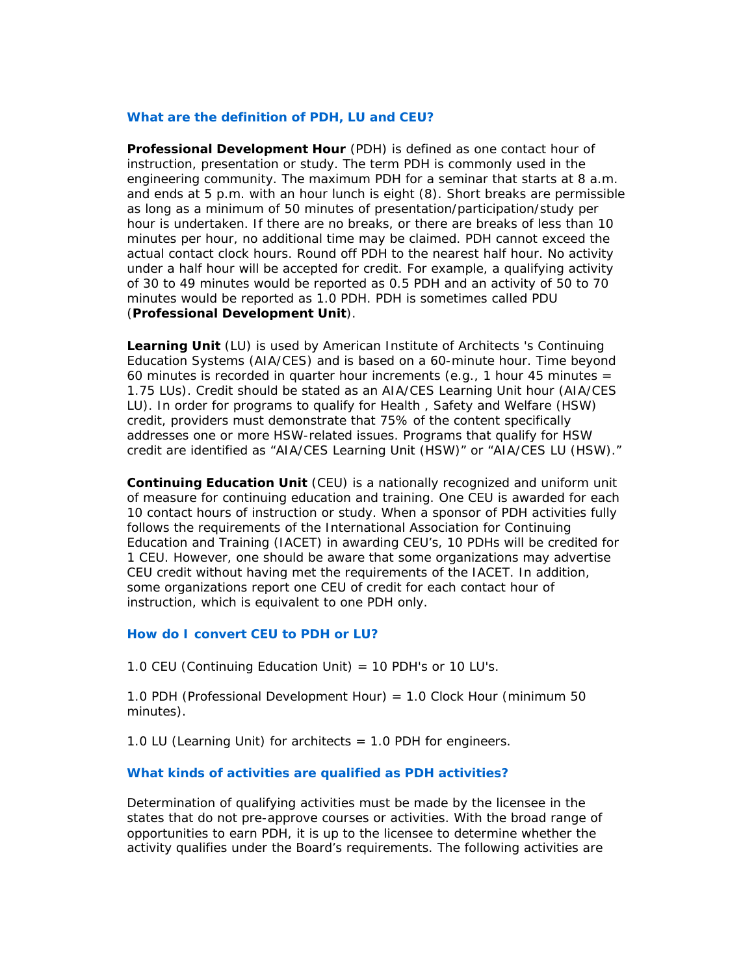## **What are the definition of PDH, LU and CEU?**

**Professional Development Hour** (PDH) is defined as one contact hour of instruction, presentation or study. The term PDH is commonly used in the engineering community. The maximum PDH for a seminar that starts at 8 a.m. and ends at 5 p.m. with an hour lunch is eight (8). Short breaks are permissible as long as a minimum of 50 minutes of presentation/participation/study per hour is undertaken. If there are no breaks, or there are breaks of less than 10 minutes per hour, no additional time may be claimed. PDH cannot exceed the actual contact clock hours. Round off PDH to the nearest half hour. No activity under a half hour will be accepted for credit. For example, a qualifying activity of 30 to 49 minutes would be reported as 0.5 PDH and an activity of 50 to 70 minutes would be reported as 1.0 PDH. PDH is sometimes called PDU (**Professional Development Unit**).

**Learning Unit** (LU) is used by American Institute of Architects 's Continuing Education Systems (AIA/CES) and is based on a 60-minute hour. Time beyond 60 minutes is recorded in quarter hour increments (e.g., 1 hour 45 minutes  $=$ 1.75 LUs). Credit should be stated as an AIA/CES Learning Unit hour (AIA/CES LU). In order for programs to qualify for Health , Safety and Welfare (HSW) credit, providers must demonstrate that 75% of the content specifically addresses one or more HSW-related issues. Programs that qualify for HSW credit are identified as "AIA/CES Learning Unit (HSW)" or "AIA/CES LU (HSW)."

**Continuing Education Unit** (CEU) is a nationally recognized and uniform unit of measure for continuing education and training. One CEU is awarded for each 10 contact hours of instruction or study. When a sponsor of PDH activities fully follows the requirements of the International Association for Continuing Education and Training (IACET) in awarding CEU's, 10 PDHs will be credited for 1 CEU. However, one should be aware that some organizations may advertise CEU credit without having met the requirements of the IACET. In addition, some organizations report one CEU of credit for each contact hour of instruction, which is equivalent to one PDH only.

## **How do I convert CEU to PDH or LU?**

1.0 CEU (Continuing Education Unit) = 10 PDH's or 10 LU's.

1.0 PDH (Professional Development Hour) = 1.0 Clock Hour (minimum 50 minutes).

1.0 LU (Learning Unit) for architects  $= 1.0$  PDH for engineers.

## **What kinds of activities are qualified as PDH activities?**

Determination of qualifying activities must be made by the licensee in the states that do not pre-approve courses or activities. With the broad range of opportunities to earn PDH, it is up to the licensee to determine whether the activity qualifies under the Board's requirements. The following activities are